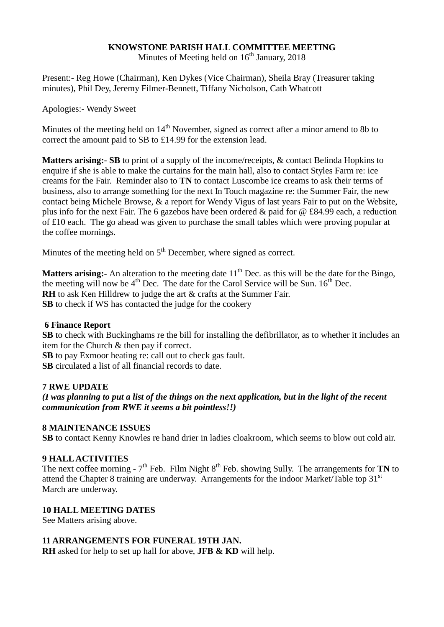## **KNOWSTONE PARISH HALL COMMITTEE MEETING**

Minutes of Meeting held on  $16<sup>th</sup>$  January, 2018

Present:- Reg Howe (Chairman), Ken Dykes (Vice Chairman), Sheila Bray (Treasurer taking minutes), Phil Dey, Jeremy Filmer-Bennett, Tiffany Nicholson, Cath Whatcott

Apologies:- Wendy Sweet

Minutes of the meeting held on  $14<sup>th</sup>$  November, signed as correct after a minor amend to 8b to correct the amount paid to SB to £14.99 for the extension lead.

**Matters arising:- SB** to print of a supply of the income/receipts, & contact Belinda Hopkins to enquire if she is able to make the curtains for the main hall, also to contact Styles Farm re: ice creams for the Fair. Reminder also to **TN** to contact Luscombe ice creams to ask their terms of business, also to arrange something for the next In Touch magazine re: the Summer Fair, the new contact being Michele Browse, & a report for Wendy Vigus of last years Fair to put on the Website, plus info for the next Fair. The 6 gazebos have been ordered & paid for @ £84.99 each, a reduction of £10 each. The go ahead was given to purchase the small tables which were proving popular at the coffee mornings.

Minutes of the meeting held on 5<sup>th</sup> December, where signed as correct.

**Matters arising:** An alteration to the meeting date 11<sup>th</sup> Dec. as this will be the date for the Bingo, the meeting will now be  $4<sup>th</sup>$  Dec. The date for the Carol Service will be Sun.  $16<sup>th</sup>$  Dec. **RH** to ask Ken Hilldrew to judge the art & crafts at the Summer Fair. **SB** to check if WS has contacted the judge for the cookery

#### **6 Finance Report**

**SB** to check with Buckinghams re the bill for installing the defibrillator, as to whether it includes an item for the Church & then pay if correct.

**SB** to pay Exmoor heating re: call out to check gas fault. **SB** circulated a list of all financial records to date.

#### **7 RWE UPDATE**

*(I was planning to put a list of the things on the next application, but in the light of the recent communication from RWE it seems a bit pointless!!)*

#### **8 MAINTENANCE ISSUES**

**SB** to contact Kenny Knowles re hand drier in ladies cloakroom, which seems to blow out cold air.

#### **9 HALL ACTIVITIES**

The next coffee morning  $-7<sup>th</sup>$  Feb. Film Night  $8<sup>th</sup>$  Feb. showing Sully. The arrangements for **TN** to attend the Chapter 8 training are underway. Arrangements for the indoor Market/Table top 31<sup>st</sup> March are underway.

### **10 HALL MEETING DATES**

See Matters arising above.

#### **11 ARRANGEMENTS FOR FUNERAL 19TH JAN.**

**RH** asked for help to set up hall for above, **JFB & KD** will help.